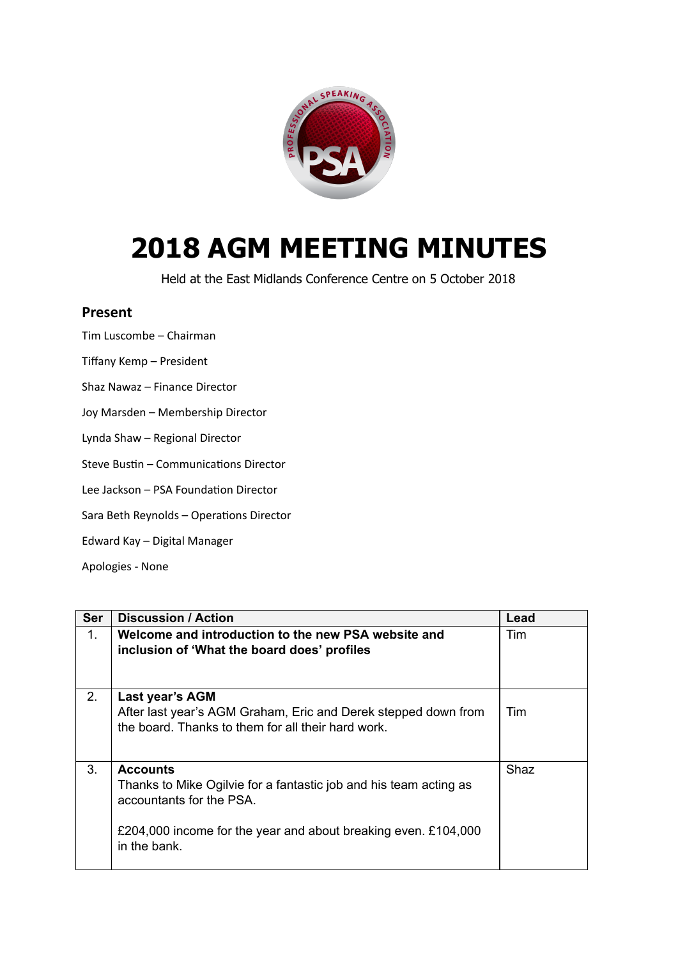

## **2018 AGM MEETING MINUTES**

Held at the East Midlands Conference Centre on 5 October 2018

## **Present**

Tim Luscombe – Chairman

- Tiffany Kemp President
- Shaz Nawaz Finance Director
- Joy Marsden Membership Director
- Lynda Shaw Regional Director
- Steve Bustin Communications Director
- Lee Jackson PSA Foundation Director
- Sara Beth Reynolds Operations Director
- Edward Kay Digital Manager
- Apologies ‑ None

| <b>Ser</b> | <b>Discussion / Action</b>                                                                                                                                                                         | Lead |
|------------|----------------------------------------------------------------------------------------------------------------------------------------------------------------------------------------------------|------|
| 1.         | Welcome and introduction to the new PSA website and<br>inclusion of 'What the board does' profiles                                                                                                 | Tim  |
| 2.         | Last year's AGM<br>After last year's AGM Graham, Eric and Derek stepped down from<br>the board. Thanks to them for all their hard work.                                                            | Tim  |
| 3.         | <b>Accounts</b><br>Thanks to Mike Ogilvie for a fantastic job and his team acting as<br>accountants for the PSA.<br>£204,000 income for the year and about breaking even. £104,000<br>in the bank. | Shaz |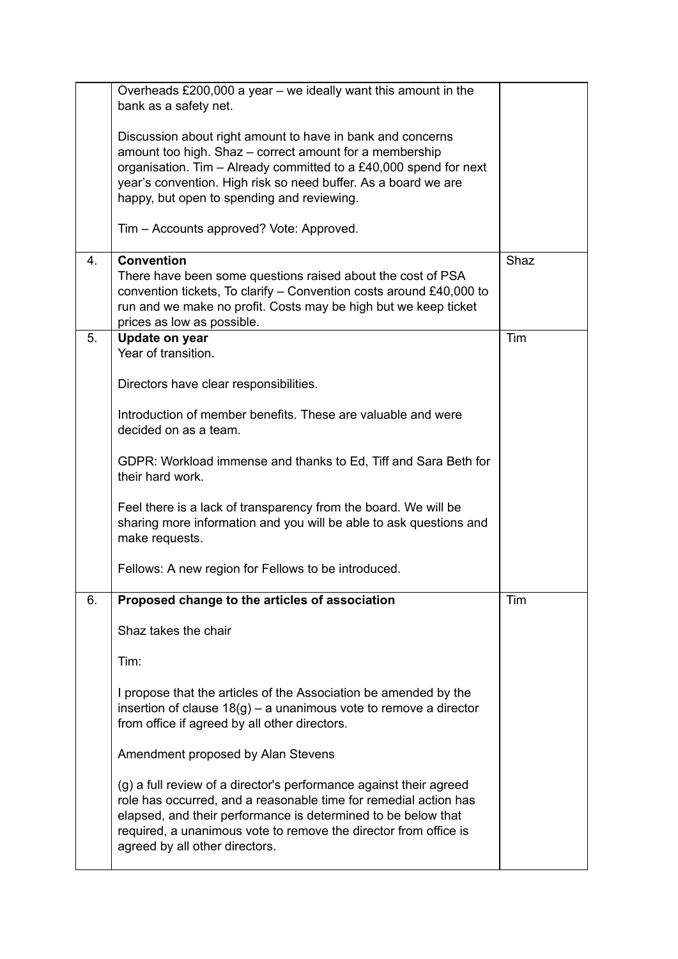|    | Overheads $£200,000$ a year – we ideally want this amount in the<br>bank as a safety net.                                                                                                                                                                                                                     |      |
|----|---------------------------------------------------------------------------------------------------------------------------------------------------------------------------------------------------------------------------------------------------------------------------------------------------------------|------|
|    | Discussion about right amount to have in bank and concerns<br>amount too high. Shaz - correct amount for a membership<br>organisation. Tim - Already committed to a £40,000 spend for next<br>year's convention. High risk so need buffer. As a board we are<br>happy, but open to spending and reviewing.    |      |
|    | Tim – Accounts approved? Vote: Approved.                                                                                                                                                                                                                                                                      |      |
| 4. | <b>Convention</b><br>There have been some questions raised about the cost of PSA<br>convention tickets, To clarify - Convention costs around £40,000 to<br>run and we make no profit. Costs may be high but we keep ticket<br>prices as low as possible.                                                      | Shaz |
| 5. | Update on year<br>Year of transition.                                                                                                                                                                                                                                                                         | Tim  |
|    | Directors have clear responsibilities.                                                                                                                                                                                                                                                                        |      |
|    | Introduction of member benefits. These are valuable and were<br>decided on as a team.                                                                                                                                                                                                                         |      |
|    | GDPR: Workload immense and thanks to Ed, Tiff and Sara Beth for<br>their hard work.                                                                                                                                                                                                                           |      |
|    | Feel there is a lack of transparency from the board. We will be<br>sharing more information and you will be able to ask questions and<br>make requests.                                                                                                                                                       |      |
|    | Fellows: A new region for Fellows to be introduced.                                                                                                                                                                                                                                                           |      |
| 6. | Proposed change to the articles of association                                                                                                                                                                                                                                                                | Tim  |
|    | Shaz takes the chair                                                                                                                                                                                                                                                                                          |      |
|    | Tim:                                                                                                                                                                                                                                                                                                          |      |
|    | I propose that the articles of the Association be amended by the<br>insertion of clause $18(g)$ – a unanimous vote to remove a director<br>from office if agreed by all other directors.                                                                                                                      |      |
|    | Amendment proposed by Alan Stevens                                                                                                                                                                                                                                                                            |      |
|    | (g) a full review of a director's performance against their agreed<br>role has occurred, and a reasonable time for remedial action has<br>elapsed, and their performance is determined to be below that<br>required, a unanimous vote to remove the director from office is<br>agreed by all other directors. |      |